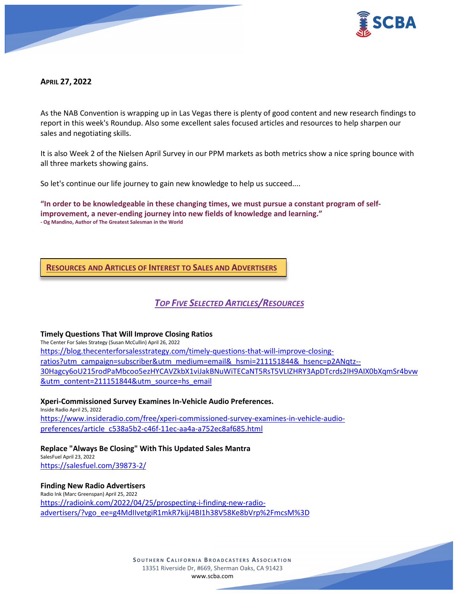

# **APRIL 27, 2022**

As the NAB Convention is wrapping up in Las Vegas there is plenty of good content and new research findings to report in this week's Roundup. Also some excellent sales focused articles and resources to help sharpen our sales and negotiating skills.

It is also Week 2 of the Nielsen April Survey in our PPM markets as both metrics show a nice spring bounce with all three markets showing gains.

So let's continue our life journey to gain new knowledge to help us succeed....

**"In order to be knowledgeable in these changing times, we must pursue a constant program of selfimprovement, a never-ending journey into new fields of knowledge and learning." - Og Mandino, Author of The Greatest Salesman in the World**

# **RESOURCES AND ARTICLES OF INTEREST TO SALES AND ADVERTISERS**

# *TOP FIVE SELECTED ARTICLES/RESOURCES*

#### **Timely Questions That Will Improve Closing Ratios**

The Center For Sales Strategy (Susan McCullin) April 26, 2022 [https://blog.thecenterforsalesstrategy.com/timely-questions-that-will-improve-closing](https://blog.thecenterforsalesstrategy.com/timely-questions-that-will-improve-closing-ratios?utm_campaign=subscriber&utm_medium=email&_hsmi=211151844&_hsenc=p2ANqtz--30Hagcy6oU215rodPaMbcoo5ezHYCAVZkbX1viJakBNuWiTECaNT5RsT5VLIZHRY3ApDTcrds2lH9AIX0bXqmSr4bvw&utm_content=211151844&utm_source=hs_email)[ratios?utm\\_campaign=subscriber&utm\\_medium=email&\\_hsmi=211151844&\\_hsenc=p2ANqtz--](https://blog.thecenterforsalesstrategy.com/timely-questions-that-will-improve-closing-ratios?utm_campaign=subscriber&utm_medium=email&_hsmi=211151844&_hsenc=p2ANqtz--30Hagcy6oU215rodPaMbcoo5ezHYCAVZkbX1viJakBNuWiTECaNT5RsT5VLIZHRY3ApDTcrds2lH9AIX0bXqmSr4bvw&utm_content=211151844&utm_source=hs_email) [30Hagcy6oU215rodPaMbcoo5ezHYCAVZkbX1viJakBNuWiTECaNT5RsT5VLIZHRY3ApDTcrds2lH9AIX0bXqmSr4bvw](https://blog.thecenterforsalesstrategy.com/timely-questions-that-will-improve-closing-ratios?utm_campaign=subscriber&utm_medium=email&_hsmi=211151844&_hsenc=p2ANqtz--30Hagcy6oU215rodPaMbcoo5ezHYCAVZkbX1viJakBNuWiTECaNT5RsT5VLIZHRY3ApDTcrds2lH9AIX0bXqmSr4bvw&utm_content=211151844&utm_source=hs_email) [&utm\\_content=211151844&utm\\_source=hs\\_email](https://blog.thecenterforsalesstrategy.com/timely-questions-that-will-improve-closing-ratios?utm_campaign=subscriber&utm_medium=email&_hsmi=211151844&_hsenc=p2ANqtz--30Hagcy6oU215rodPaMbcoo5ezHYCAVZkbX1viJakBNuWiTECaNT5RsT5VLIZHRY3ApDTcrds2lH9AIX0bXqmSr4bvw&utm_content=211151844&utm_source=hs_email)

# **Xperi-Commissioned Survey Examines In-Vehicle Audio Preferences.**

Inside Radio April 25, 2022 [https://www.insideradio.com/free/xperi-commissioned-survey-examines-in-vehicle-audio](https://www.insideradio.com/free/xperi-commissioned-survey-examines-in-vehicle-audio-preferences/article_c538a5b2-c46f-11ec-aa4a-a752ec8af685.html)[preferences/article\\_c538a5b2-c46f-11ec-aa4a-a752ec8af685.html](https://www.insideradio.com/free/xperi-commissioned-survey-examines-in-vehicle-audio-preferences/article_c538a5b2-c46f-11ec-aa4a-a752ec8af685.html)

#### **Replace "Always Be Closing" With This Updated Sales Mantra**

SalesFuel April 23, 2022 <https://salesfuel.com/39873-2/>

#### **Finding New Radio Advertisers**

Radio Ink (Marc Greenspan) April 25, 2022 [https://radioink.com/2022/04/25/prospecting-i-finding-new-radio](https://radioink.com/2022/04/25/prospecting-i-finding-new-radio-advertisers/?vgo_ee=g4MdIIvetgiR1mkR7kijJ4BI1h38V58Ke8bVrp%2FmcsM%3D)[advertisers/?vgo\\_ee=g4MdIIvetgiR1mkR7kijJ4BI1h38V58Ke8bVrp%2FmcsM%3D](https://radioink.com/2022/04/25/prospecting-i-finding-new-radio-advertisers/?vgo_ee=g4MdIIvetgiR1mkR7kijJ4BI1h38V58Ke8bVrp%2FmcsM%3D)

> **SOUTHERN C ALIFORNIA B ROADCASTERS ASSOCIATION** 13351 Riverside Dr, #669, Sherman Oaks, CA 91423 [www.scba.com](http://www.scba.com/)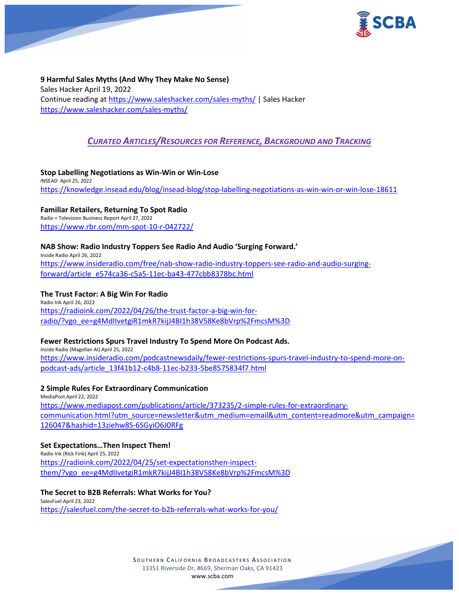

**9 Harmful Sales Myths (And Why They Make No Sense)** Sales Hacker April 19, 2022 Continue reading at<https://www.saleshacker.com/sales-myths/> | Sales Hacker <https://www.saleshacker.com/sales-myths/>

# *CURATED ARTICLES/RESOURCES FOR REFERENCE, BACKGROUND AND TRACKING*

**Stop Labelling Negotiations as Win-Win or Win-Lose** INSEAD April 25, 2022 <https://knowledge.insead.edu/blog/insead-blog/stop-labelling-negotiations-as-win-win-or-win-lose-18611>

**Familiar Retailers, Returning To Spot Radio**

Radio + Television Business Report April 27, 2022 <https://www.rbr.com/mm-spot-10-r-042722/>

# **NAB Show: Radio Industry Toppers See Radio And Audio 'Surging Forward.'**

Inside Radio April 26, 2022 [https://www.insideradio.com/free/nab-show-radio-industry-toppers-see-radio-and-audio-surging](https://www.insideradio.com/free/nab-show-radio-industry-toppers-see-radio-and-audio-surging-forward/article_e574ca36-c5a5-11ec-ba43-477cbb8378bc.html)[forward/article\\_e574ca36-c5a5-11ec-ba43-477cbb8378bc.html](https://www.insideradio.com/free/nab-show-radio-industry-toppers-see-radio-and-audio-surging-forward/article_e574ca36-c5a5-11ec-ba43-477cbb8378bc.html)

# **The Trust Factor: A Big Win For Radio**

Radio Ink April 26, 2022 [https://radioink.com/2022/04/26/the-trust-factor-a-big-win-for](https://radioink.com/2022/04/26/the-trust-factor-a-big-win-for-radio/?vgo_ee=g4MdIIvetgiR1mkR7kijJ4BI1h38V58Ke8bVrp%2FmcsM%3D)[radio/?vgo\\_ee=g4MdIIvetgiR1mkR7kijJ4BI1h38V58Ke8bVrp%2FmcsM%3D](https://radioink.com/2022/04/26/the-trust-factor-a-big-win-for-radio/?vgo_ee=g4MdIIvetgiR1mkR7kijJ4BI1h38V58Ke8bVrp%2FmcsM%3D)

# **Fewer Restrictions Spurs Travel Industry To Spend More On Podcast Ads.**

Inside Radio (Magellan AI) April 25, 2022 [https://www.insideradio.com/podcastnewsdaily/fewer-restrictions-spurs-travel-industry-to-spend-more-on](https://www.insideradio.com/podcastnewsdaily/fewer-restrictions-spurs-travel-industry-to-spend-more-on-podcast-ads/article_13f41b12-c4b8-11ec-b233-5be8575834f7.html)[podcast-ads/article\\_13f41b12-c4b8-11ec-b233-5be8575834f7.html](https://www.insideradio.com/podcastnewsdaily/fewer-restrictions-spurs-travel-industry-to-spend-more-on-podcast-ads/article_13f41b12-c4b8-11ec-b233-5be8575834f7.html)

#### **2 Simple Rules For Extraordinary Communication**

MediaPost April 22, 2022 [https://www.mediapost.com/publications/article/373235/2-simple-rules-for-extraordinary](https://www.mediapost.com/publications/article/373235/2-simple-rules-for-extraordinary-communication.html?utm_source=newsletter&utm_medium=email&utm_content=readmore&utm_campaign=126047&hashid=13ziehw8S-6SGyiO6J0RFg)[communication.html?utm\\_source=newsletter&utm\\_medium=email&utm\\_content=readmore&utm\\_campaign=](https://www.mediapost.com/publications/article/373235/2-simple-rules-for-extraordinary-communication.html?utm_source=newsletter&utm_medium=email&utm_content=readmore&utm_campaign=126047&hashid=13ziehw8S-6SGyiO6J0RFg) [126047&hashid=13ziehw8S-6SGyiO6J0RFg](https://www.mediapost.com/publications/article/373235/2-simple-rules-for-extraordinary-communication.html?utm_source=newsletter&utm_medium=email&utm_content=readmore&utm_campaign=126047&hashid=13ziehw8S-6SGyiO6J0RFg)

#### **Set Expectations…Then Inspect Them!**

Radio Ink (Rick Fink) April 25, 2022 [https://radioink.com/2022/04/25/set-expectationsthen-inspect](https://radioink.com/2022/04/25/set-expectationsthen-inspect-them/?vgo_ee=g4MdIIvetgiR1mkR7kijJ4BI1h38V58Ke8bVrp%2FmcsM%3D)[them/?vgo\\_ee=g4MdIIvetgiR1mkR7kijJ4BI1h38V58Ke8bVrp%2FmcsM%3D](https://radioink.com/2022/04/25/set-expectationsthen-inspect-them/?vgo_ee=g4MdIIvetgiR1mkR7kijJ4BI1h38V58Ke8bVrp%2FmcsM%3D)

**The Secret to B2B Referrals: What Works for You?** SalesFuel April 23, 2022 <https://salesfuel.com/the-secret-to-b2b-referrals-what-works-for-you/>

> **SOUTHERN C ALIFORNIA B ROADCASTERS ASSOCIATION** 13351 Riverside Dr, #669, Sherman Oaks, CA 91423 [www.scba.com](http://www.scba.com/)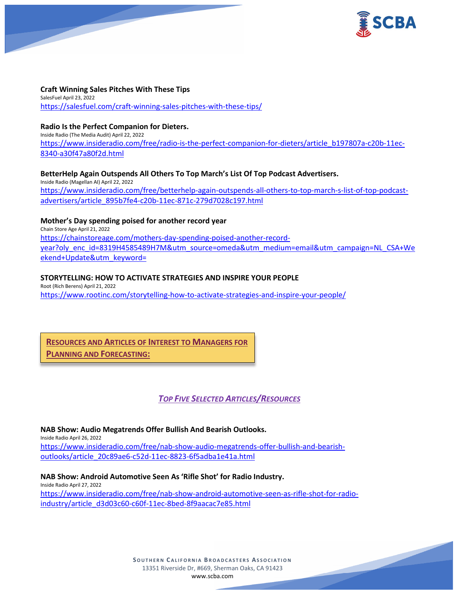

#### **Craft Winning Sales Pitches With These Tips** SalesFuel April 23, 2022 <https://salesfuel.com/craft-winning-sales-pitches-with-these-tips/>

# **Radio Is the Perfect Companion for Dieters.**

Inside Radio (The Media Audit) April 22, 2022 [https://www.insideradio.com/free/radio-is-the-perfect-companion-for-dieters/article\\_b197807a-c20b-11ec-](https://www.insideradio.com/free/radio-is-the-perfect-companion-for-dieters/article_b197807a-c20b-11ec-8340-a30f47a80f2d.html)[8340-a30f47a80f2d.html](https://www.insideradio.com/free/radio-is-the-perfect-companion-for-dieters/article_b197807a-c20b-11ec-8340-a30f47a80f2d.html)

# **BetterHelp Again Outspends All Others To Top March's List Of Top Podcast Advertisers.**

Inside Radio (Magellan AI) April 22, 2022 [https://www.insideradio.com/free/betterhelp-again-outspends-all-others-to-top-march-s-list-of-top-podcast](https://www.insideradio.com/free/betterhelp-again-outspends-all-others-to-top-march-s-list-of-top-podcast-advertisers/article_895b7fe4-c20b-11ec-871c-279d7028c197.html)[advertisers/article\\_895b7fe4-c20b-11ec-871c-279d7028c197.html](https://www.insideradio.com/free/betterhelp-again-outspends-all-others-to-top-march-s-list-of-top-podcast-advertisers/article_895b7fe4-c20b-11ec-871c-279d7028c197.html)

# **Mother's Day spending poised for another record year**

Chain Store Age April 21, 2022 [https://chainstoreage.com/mothers-day-spending-poised-another-record](https://chainstoreage.com/mothers-day-spending-poised-another-record-year?oly_enc_id=8319H4585489H7M&utm_source=omeda&utm_medium=email&utm_campaign=NL_CSA+Weekend+Update&utm_keyword=)[year?oly\\_enc\\_id=8319H4585489H7M&utm\\_source=omeda&utm\\_medium=email&utm\\_campaign=NL\\_CSA+We](https://chainstoreage.com/mothers-day-spending-poised-another-record-year?oly_enc_id=8319H4585489H7M&utm_source=omeda&utm_medium=email&utm_campaign=NL_CSA+Weekend+Update&utm_keyword=) [ekend+Update&utm\\_keyword=](https://chainstoreage.com/mothers-day-spending-poised-another-record-year?oly_enc_id=8319H4585489H7M&utm_source=omeda&utm_medium=email&utm_campaign=NL_CSA+Weekend+Update&utm_keyword=)

# **STORYTELLING: HOW TO ACTIVATE STRATEGIES AND INSPIRE YOUR PEOPLE**

Root (Rich Berens) April 21, 2022 <https://www.rootinc.com/storytelling-how-to-activate-strategies-and-inspire-your-people/>

**RESOURCES AND ARTICLES OF INTEREST TO MANAGERS FOR PLANNING AND FORECASTING:**

*TOP FIVE SELECTED ARTICLES/RESOURCES*

**NAB Show: Audio Megatrends Offer Bullish And Bearish Outlooks.** Inside Radio April 26, 2022 [https://www.insideradio.com/free/nab-show-audio-megatrends-offer-bullish-and-bearish](https://www.insideradio.com/free/nab-show-audio-megatrends-offer-bullish-and-bearish-outlooks/article_20c89ae6-c52d-11ec-8823-6f5adba1e41a.html)[outlooks/article\\_20c89ae6-c52d-11ec-8823-6f5adba1e41a.html](https://www.insideradio.com/free/nab-show-audio-megatrends-offer-bullish-and-bearish-outlooks/article_20c89ae6-c52d-11ec-8823-6f5adba1e41a.html)

**NAB Show: Android Automotive Seen As 'Rifle Shot' for Radio Industry.** Inside Radio April 27, 2022 [https://www.insideradio.com/free/nab-show-android-automotive-seen-as-rifle-shot-for-radio](https://www.insideradio.com/free/nab-show-android-automotive-seen-as-rifle-shot-for-radio-industry/article_d3d03c60-c60f-11ec-8bed-8f9aacac7e85.html)[industry/article\\_d3d03c60-c60f-11ec-8bed-8f9aacac7e85.html](https://www.insideradio.com/free/nab-show-android-automotive-seen-as-rifle-shot-for-radio-industry/article_d3d03c60-c60f-11ec-8bed-8f9aacac7e85.html)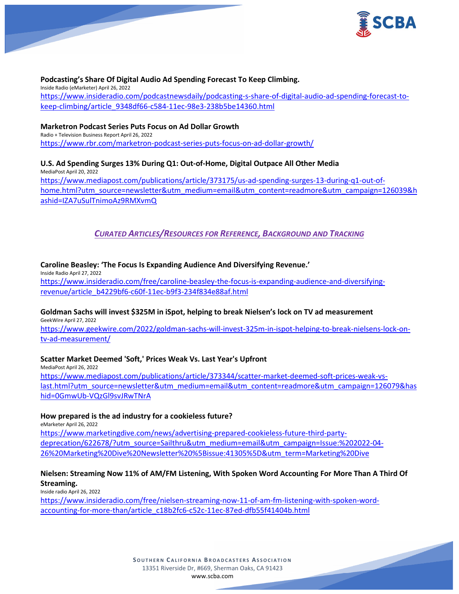

# **Podcasting's Share Of Digital Audio Ad Spending Forecast To Keep Climbing.**

Inside Radio (eMarketer) April 26, 2022 [https://www.insideradio.com/podcastnewsdaily/podcasting-s-share-of-digital-audio-ad-spending-forecast-to](https://www.insideradio.com/podcastnewsdaily/podcasting-s-share-of-digital-audio-ad-spending-forecast-to-keep-climbing/article_9348df66-c584-11ec-98e3-238b5be14360.html)[keep-climbing/article\\_9348df66-c584-11ec-98e3-238b5be14360.html](https://www.insideradio.com/podcastnewsdaily/podcasting-s-share-of-digital-audio-ad-spending-forecast-to-keep-climbing/article_9348df66-c584-11ec-98e3-238b5be14360.html)

#### **Marketron Podcast Series Puts Focus on Ad Dollar Growth**

Radio + Television Business Report April 26, 2022 <https://www.rbr.com/marketron-podcast-series-puts-focus-on-ad-dollar-growth/>

# **U.S. Ad Spending Surges 13% During Q1: Out-of-Home, Digital Outpace All Other Media**

MediaPost April 20, 2022 [https://www.mediapost.com/publications/article/373175/us-ad-spending-surges-13-during-q1-out-of](https://www.mediapost.com/publications/article/373175/us-ad-spending-surges-13-during-q1-out-of-home.html?utm_source=newsletter&utm_medium=email&utm_content=readmore&utm_campaign=126039&hashid=IZA7uSulTnimoAz9RMXvmQ)[home.html?utm\\_source=newsletter&utm\\_medium=email&utm\\_content=readmore&utm\\_campaign=126039&h](https://www.mediapost.com/publications/article/373175/us-ad-spending-surges-13-during-q1-out-of-home.html?utm_source=newsletter&utm_medium=email&utm_content=readmore&utm_campaign=126039&hashid=IZA7uSulTnimoAz9RMXvmQ) [ashid=IZA7uSulTnimoAz9RMXvmQ](https://www.mediapost.com/publications/article/373175/us-ad-spending-surges-13-during-q1-out-of-home.html?utm_source=newsletter&utm_medium=email&utm_content=readmore&utm_campaign=126039&hashid=IZA7uSulTnimoAz9RMXvmQ)

*CURATED ARTICLES/RESOURCES FOR REFERENCE, BACKGROUND AND TRACKING*

#### **Caroline Beasley: 'The Focus Is Expanding Audience And Diversifying Revenue.'**

Inside Radio April 27, 2022 [https://www.insideradio.com/free/caroline-beasley-the-focus-is-expanding-audience-and-diversifying](https://www.insideradio.com/free/caroline-beasley-the-focus-is-expanding-audience-and-diversifying-revenue/article_b4229bf6-c60f-11ec-b9f3-234f834e88af.html)[revenue/article\\_b4229bf6-c60f-11ec-b9f3-234f834e88af.html](https://www.insideradio.com/free/caroline-beasley-the-focus-is-expanding-audience-and-diversifying-revenue/article_b4229bf6-c60f-11ec-b9f3-234f834e88af.html)

#### **Goldman Sachs will invest \$325M in iSpot, helping to break Nielsen's lock on TV ad measurement** GeekWire April 27, 2022

[https://www.geekwire.com/2022/goldman-sachs-will-invest-325m-in-ispot-helping-to-break-nielsens-lock-on](https://www.geekwire.com/2022/goldman-sachs-will-invest-325m-in-ispot-helping-to-break-nielsens-lock-on-tv-ad-measurement/)[tv-ad-measurement/](https://www.geekwire.com/2022/goldman-sachs-will-invest-325m-in-ispot-helping-to-break-nielsens-lock-on-tv-ad-measurement/)

#### **Scatter Market Deemed 'Soft,' Prices Weak Vs. Last Year's Upfront**

MediaPost April 26, 2022 [https://www.mediapost.com/publications/article/373344/scatter-market-deemed-soft-prices-weak-vs](https://www.mediapost.com/publications/article/373344/scatter-market-deemed-soft-prices-weak-vs-last.html?utm_source=newsletter&utm_medium=email&utm_content=readmore&utm_campaign=126079&hashid=0GmwUb-VQzGl9svJRwTNrA)[last.html?utm\\_source=newsletter&utm\\_medium=email&utm\\_content=readmore&utm\\_campaign=126079&has](https://www.mediapost.com/publications/article/373344/scatter-market-deemed-soft-prices-weak-vs-last.html?utm_source=newsletter&utm_medium=email&utm_content=readmore&utm_campaign=126079&hashid=0GmwUb-VQzGl9svJRwTNrA) [hid=0GmwUb-VQzGl9svJRwTNrA](https://www.mediapost.com/publications/article/373344/scatter-market-deemed-soft-prices-weak-vs-last.html?utm_source=newsletter&utm_medium=email&utm_content=readmore&utm_campaign=126079&hashid=0GmwUb-VQzGl9svJRwTNrA)

#### **How prepared is the ad industry for a cookieless future?**

eMarketer April 26, 2022

[https://www.marketingdive.com/news/advertising-prepared-cookieless-future-third-party](https://www.marketingdive.com/news/advertising-prepared-cookieless-future-third-party-deprecation/622678/?utm_source=Sailthru&utm_medium=email&utm_campaign=Issue:%202022-04-26%20Marketing%20Dive%20Newsletter%20%5Bissue:41305%5D&utm_term=Marketing%20Dive)[deprecation/622678/?utm\\_source=Sailthru&utm\\_medium=email&utm\\_campaign=Issue:%202022-04-](https://www.marketingdive.com/news/advertising-prepared-cookieless-future-third-party-deprecation/622678/?utm_source=Sailthru&utm_medium=email&utm_campaign=Issue:%202022-04-26%20Marketing%20Dive%20Newsletter%20%5Bissue:41305%5D&utm_term=Marketing%20Dive) [26%20Marketing%20Dive%20Newsletter%20%5Bissue:41305%5D&utm\\_term=Marketing%20Dive](https://www.marketingdive.com/news/advertising-prepared-cookieless-future-third-party-deprecation/622678/?utm_source=Sailthru&utm_medium=email&utm_campaign=Issue:%202022-04-26%20Marketing%20Dive%20Newsletter%20%5Bissue:41305%5D&utm_term=Marketing%20Dive)

#### **Nielsen: Streaming Now 11% of AM/FM Listening, With Spoken Word Accounting For More Than A Third Of Streaming.**

Inside radio April 26, 2022

[https://www.insideradio.com/free/nielsen-streaming-now-11-of-am-fm-listening-with-spoken-word](https://www.insideradio.com/free/nielsen-streaming-now-11-of-am-fm-listening-with-spoken-word-accounting-for-more-than/article_c18b2fc6-c52c-11ec-87ed-dfb55f41404b.html)[accounting-for-more-than/article\\_c18b2fc6-c52c-11ec-87ed-dfb55f41404b.html](https://www.insideradio.com/free/nielsen-streaming-now-11-of-am-fm-listening-with-spoken-word-accounting-for-more-than/article_c18b2fc6-c52c-11ec-87ed-dfb55f41404b.html)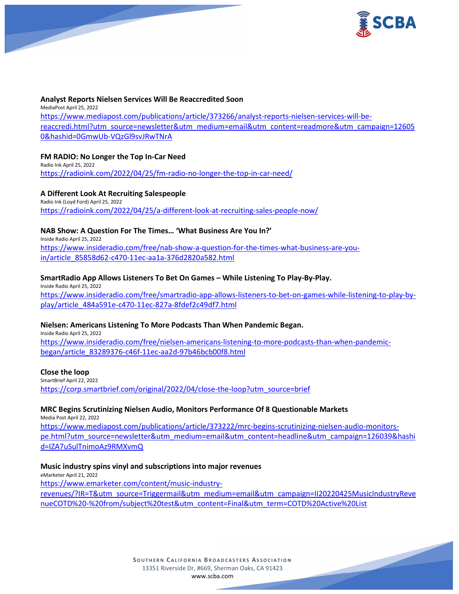

#### **Analyst Reports Nielsen Services Will Be Reaccredited Soon**

MediaPost April 25, 2022 [https://www.mediapost.com/publications/article/373266/analyst-reports-nielsen-services-will-be](https://www.mediapost.com/publications/article/373266/analyst-reports-nielsen-services-will-be-reaccredi.html?utm_source=newsletter&utm_medium=email&utm_content=readmore&utm_campaign=126050&hashid=0GmwUb-VQzGl9svJRwTNrA)[reaccredi.html?utm\\_source=newsletter&utm\\_medium=email&utm\\_content=readmore&utm\\_campaign=12605](https://www.mediapost.com/publications/article/373266/analyst-reports-nielsen-services-will-be-reaccredi.html?utm_source=newsletter&utm_medium=email&utm_content=readmore&utm_campaign=126050&hashid=0GmwUb-VQzGl9svJRwTNrA) [0&hashid=0GmwUb-VQzGl9svJRwTNrA](https://www.mediapost.com/publications/article/373266/analyst-reports-nielsen-services-will-be-reaccredi.html?utm_source=newsletter&utm_medium=email&utm_content=readmore&utm_campaign=126050&hashid=0GmwUb-VQzGl9svJRwTNrA)

# **FM RADIO: No Longer the Top In-Car Need**

Radio Ink April 25, 2022 <https://radioink.com/2022/04/25/fm-radio-no-longer-the-top-in-car-need/>

#### **A Different Look At Recruiting Salespeople**

Radio Ink (Loyd Ford) April 25, 2022 <https://radioink.com/2022/04/25/a-different-look-at-recruiting-sales-people-now/>

# **NAB Show: A Question For The Times… 'What Business Are You In?'**

Inside Radio April 25, 2022 [https://www.insideradio.com/free/nab-show-a-question-for-the-times-what-business-are-you](https://www.insideradio.com/free/nab-show-a-question-for-the-times-what-business-are-you-in/article_85858d62-c470-11ec-aa1a-376d2820a582.html)[in/article\\_85858d62-c470-11ec-aa1a-376d2820a582.html](https://www.insideradio.com/free/nab-show-a-question-for-the-times-what-business-are-you-in/article_85858d62-c470-11ec-aa1a-376d2820a582.html)

# **SmartRadio App Allows Listeners To Bet On Games – While Listening To Play-By-Play.**

Inside Radio April 25, 2022 [https://www.insideradio.com/free/smartradio-app-allows-listeners-to-bet-on-games-while-listening-to-play-by](https://www.insideradio.com/free/smartradio-app-allows-listeners-to-bet-on-games-while-listening-to-play-by-play/article_484a591e-c470-11ec-827a-8fdef2c49df7.html)[play/article\\_484a591e-c470-11ec-827a-8fdef2c49df7.html](https://www.insideradio.com/free/smartradio-app-allows-listeners-to-bet-on-games-while-listening-to-play-by-play/article_484a591e-c470-11ec-827a-8fdef2c49df7.html)

#### **Nielsen: Americans Listening To More Podcasts Than When Pandemic Began.**

Inside Radio April 25, 2022 [https://www.insideradio.com/free/nielsen-americans-listening-to-more-podcasts-than-when-pandemic](https://www.insideradio.com/free/nielsen-americans-listening-to-more-podcasts-than-when-pandemic-began/article_83289376-c46f-11ec-aa2d-97b46bcb00f8.html)[began/article\\_83289376-c46f-11ec-aa2d-97b46bcb00f8.html](https://www.insideradio.com/free/nielsen-americans-listening-to-more-podcasts-than-when-pandemic-began/article_83289376-c46f-11ec-aa2d-97b46bcb00f8.html)

#### **Close the loop**

SmartBrief April 22, 2022 [https://corp.smartbrief.com/original/2022/04/close-the-loop?utm\\_source=brief](https://corp.smartbrief.com/original/2022/04/close-the-loop?utm_source=brief)

# **MRC Begins Scrutinizing Nielsen Audio, Monitors Performance Of 8 Questionable Markets**

Media Post April 22, 2022

[https://www.mediapost.com/publications/article/373222/mrc-begins-scrutinizing-nielsen-audio-monitors](https://www.mediapost.com/publications/article/373222/mrc-begins-scrutinizing-nielsen-audio-monitors-pe.html?utm_source=newsletter&utm_medium=email&utm_content=headline&utm_campaign=126039&hashid=IZA7uSulTnimoAz9RMXvmQ)[pe.html?utm\\_source=newsletter&utm\\_medium=email&utm\\_content=headline&utm\\_campaign=126039&hashi](https://www.mediapost.com/publications/article/373222/mrc-begins-scrutinizing-nielsen-audio-monitors-pe.html?utm_source=newsletter&utm_medium=email&utm_content=headline&utm_campaign=126039&hashid=IZA7uSulTnimoAz9RMXvmQ) [d=IZA7uSulTnimoAz9RMXvmQ](https://www.mediapost.com/publications/article/373222/mrc-begins-scrutinizing-nielsen-audio-monitors-pe.html?utm_source=newsletter&utm_medium=email&utm_content=headline&utm_campaign=126039&hashid=IZA7uSulTnimoAz9RMXvmQ)

#### **Music industry spins vinyl and subscriptions into major revenues**

eMarketer April 21, 2022 [https://www.emarketer.com/content/music-industry](https://www.emarketer.com/content/music-industry-revenues/?IR=T&utm_source=Triggermail&utm_medium=email&utm_campaign=II20220425MusicIndustryRevenueCOTD%20-%20from/subject%20test&utm_content=Final&utm_term=COTD%20Active%20List)[revenues/?IR=T&utm\\_source=Triggermail&utm\\_medium=email&utm\\_campaign=II20220425MusicIndustryReve](https://www.emarketer.com/content/music-industry-revenues/?IR=T&utm_source=Triggermail&utm_medium=email&utm_campaign=II20220425MusicIndustryRevenueCOTD%20-%20from/subject%20test&utm_content=Final&utm_term=COTD%20Active%20List) [nueCOTD%20-%20from/subject%20test&utm\\_content=Final&utm\\_term=COTD%20Active%20List](https://www.emarketer.com/content/music-industry-revenues/?IR=T&utm_source=Triggermail&utm_medium=email&utm_campaign=II20220425MusicIndustryRevenueCOTD%20-%20from/subject%20test&utm_content=Final&utm_term=COTD%20Active%20List)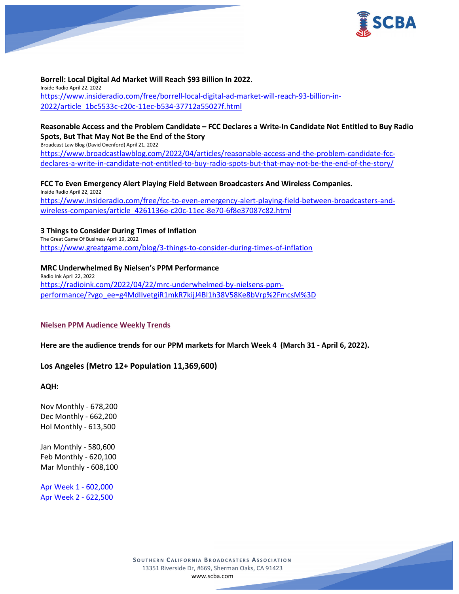

# **Borrell: Local Digital Ad Market Will Reach \$93 Billion In 2022.**

Inside Radio April 22, 2022 [https://www.insideradio.com/free/borrell-local-digital-ad-market-will-reach-93-billion-in-](https://www.insideradio.com/free/borrell-local-digital-ad-market-will-reach-93-billion-in-2022/article_1bc5533c-c20c-11ec-b534-37712a55027f.html)[2022/article\\_1bc5533c-c20c-11ec-b534-37712a55027f.html](https://www.insideradio.com/free/borrell-local-digital-ad-market-will-reach-93-billion-in-2022/article_1bc5533c-c20c-11ec-b534-37712a55027f.html)

# **Reasonable Access and the Problem Candidate – FCC Declares a Write-In Candidate Not Entitled to Buy Radio Spots, But That May Not Be the End of the Story**

Broadcast Law Blog (David Oxenford) April 21, 2022 [https://www.broadcastlawblog.com/2022/04/articles/reasonable-access-and-the-problem-candidate-fcc-](https://www.broadcastlawblog.com/2022/04/articles/reasonable-access-and-the-problem-candidate-fcc-declares-a-write-in-candidate-not-entitled-to-buy-radio-spots-but-that-may-not-be-the-end-of-the-story/)

[declares-a-write-in-candidate-not-entitled-to-buy-radio-spots-but-that-may-not-be-the-end-of-the-story/](https://www.broadcastlawblog.com/2022/04/articles/reasonable-access-and-the-problem-candidate-fcc-declares-a-write-in-candidate-not-entitled-to-buy-radio-spots-but-that-may-not-be-the-end-of-the-story/)

**FCC To Even Emergency Alert Playing Field Between Broadcasters And Wireless Companies.** Inside Radio April 22, 2022 [https://www.insideradio.com/free/fcc-to-even-emergency-alert-playing-field-between-broadcasters-and](https://www.insideradio.com/free/fcc-to-even-emergency-alert-playing-field-between-broadcasters-and-wireless-companies/article_4261136e-c20c-11ec-8e70-6f8e37087c82.html)[wireless-companies/article\\_4261136e-c20c-11ec-8e70-6f8e37087c82.html](https://www.insideradio.com/free/fcc-to-even-emergency-alert-playing-field-between-broadcasters-and-wireless-companies/article_4261136e-c20c-11ec-8e70-6f8e37087c82.html)

# **3 Things to Consider During Times of Inflation**

The Great Game Of Business April 19, 2022 <https://www.greatgame.com/blog/3-things-to-consider-during-times-of-inflation>

# **MRC Underwhelmed By Nielsen's PPM Performance**

Radio Ink April 22, 2022 [https://radioink.com/2022/04/22/mrc-underwhelmed-by-nielsens-ppm](https://radioink.com/2022/04/22/mrc-underwhelmed-by-nielsens-ppm-performance/?vgo_ee=g4MdIIvetgiR1mkR7kijJ4BI1h38V58Ke8bVrp%2FmcsM%3D)[performance/?vgo\\_ee=g4MdIIvetgiR1mkR7kijJ4BI1h38V58Ke8bVrp%2FmcsM%3D](https://radioink.com/2022/04/22/mrc-underwhelmed-by-nielsens-ppm-performance/?vgo_ee=g4MdIIvetgiR1mkR7kijJ4BI1h38V58Ke8bVrp%2FmcsM%3D)

#### **Nielsen PPM Audience Weekly Trends**

**Here are the audience trends for our PPM markets for March Week 4 (March 31 - April 6, 2022).** 

# **Los Angeles (Metro 12+ Population 11,369,600)**

**AQH:**

Nov Monthly - 678,200 Dec Monthly - 662,200 Hol Monthly - 613,500

Jan Monthly - 580,600 Feb Monthly - 620,100 Mar Monthly - 608,100

Apr Week 1 - 602,000 Apr Week 2 - 622,500

> **SOUTHERN C ALIFORNIA B ROADCASTERS ASSOCIATION** 13351 Riverside Dr, #669, Sherman Oaks, CA 91423 [www.scba.com](http://www.scba.com/)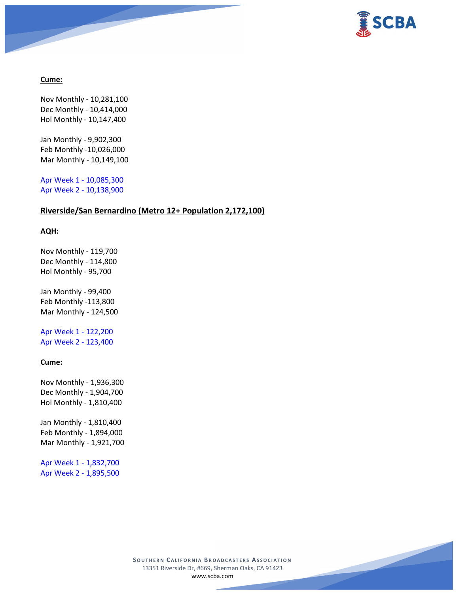

# **Cume:**

Nov Monthly - 10,281,100 Dec Monthly - 10,414,000 Hol Monthly - 10,147,400

Jan Monthly - 9,902,300 Feb Monthly -10,026,000 Mar Monthly - 10,149,100

Apr Week 1 - 10,085,300 Apr Week 2 - 10,138,900

# **Riverside/San Bernardino (Metro 12+ Population 2,172,100)**

#### **AQH:**

Nov Monthly - 119,700 Dec Monthly - 114,800 Hol Monthly - 95,700

Jan Monthly - 99,400 Feb Monthly -113,800 Mar Monthly - 124,500

Apr Week 1 - 122,200 Apr Week 2 - 123,400

#### **Cume:**

Nov Monthly - 1,936,300 Dec Monthly - 1,904,700 Hol Monthly - 1,810,400

Jan Monthly - 1,810,400 Feb Monthly - 1,894,000 Mar Monthly - 1,921,700

Apr Week 1 - 1,832,700 Apr Week 2 - 1,895,500